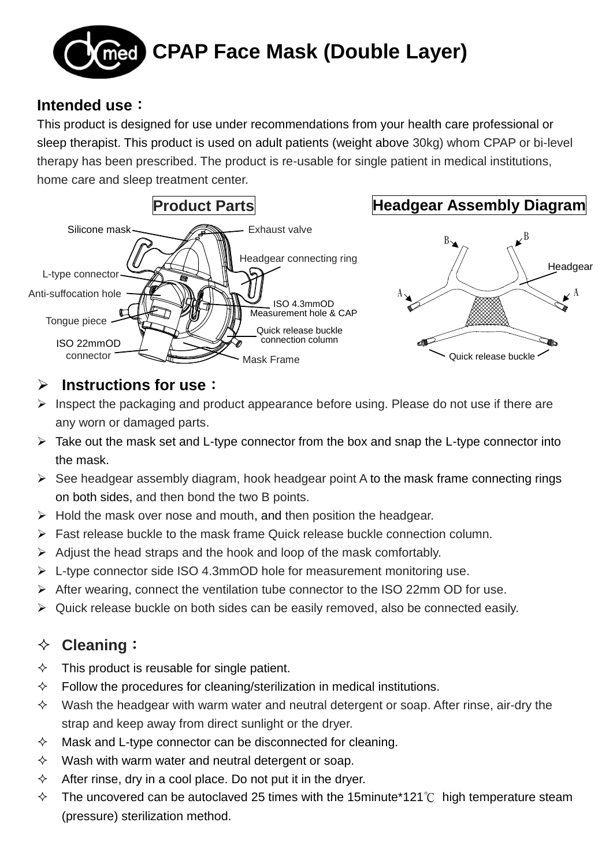

#### **Intended use**:

This product is designed for use under recommendations from your health care professional or sleep therapist. This product is used on adult patients (weight above 30kg) whom CPAP or bi-level therapy has been prescribed. The product is re-usable for single patient in medical institutions, home care and sleep treatment center.



#### **Instructions for use**:

- $\triangleright$  Inspect the packaging and product appearance before using. Please do not use if there are any worn or damaged parts.
- $\triangleright$  Take out the mask set and L-type connector from the box and snap the L-type connector into the mask.
- $\triangleright$  See headgear assembly diagram, hook headgear point A to the mask frame connecting rings on both sides, and then bond the two B points.
- $\triangleright$  Hold the mask over nose and mouth, and then position the headgear.
- $\triangleright$  Fast release buckle to the mask frame Quick release buckle connection column.
- $\triangleright$  Adjust the head straps and the hook and loop of the mask comfortably.
- $\triangleright$  L-type connector side ISO 4.3mmOD hole for measurement monitoring use.
- $\triangleright$  After wearing, connect the ventilation tube connector to the ISO 22mm OD for use.
- Quick release buckle on both sides can be easily removed, also be connected easily.

## **Cleaning**:

- $\Diamond$  This product is reusable for single patient.
- $\Diamond$  Follow the procedures for cleaning/sterilization in medical institutions.
- $\Diamond$  Wash the headgear with warm water and neutral detergent or soap. After rinse, air-dry the strap and keep away from direct sunlight or the dryer.
- $\Diamond$  Mask and L-type connector can be disconnected for cleaning.
- $\Diamond$  Wash with warm water and neutral detergent or soap.
- $\Diamond$  After rinse, dry in a cool place. Do not put it in the dryer.
- The uncovered can be autoclaved 25 times with the 15minute\*121℃ high temperature steam (pressure) sterilization method.